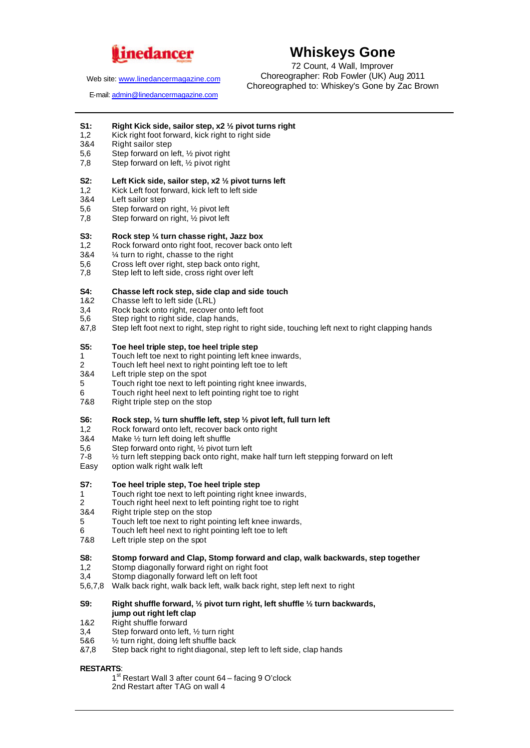

Web site: www.linedancermagazine.com

# **Whiskeys Gone**

72 Count, 4 Wall, Improver Choreographer: Rob Fowler (UK) Aug 2011 Choreographed to: Whiskey's Gone by Zac Brown

E-mail: admin@linedancermagazine.com

- **S1:** Right Kick side, sailor step, x2 <sup>1</sup>/<sub>2</sub> pivot turns right 1.2 Kick right **Right 1.2** Kick right foot forward. kick right by right side
- Kick right foot forward, kick right to right side
- 3&4 Right sailor step
- 5,6 Step forward on left,  $\frac{1}{2}$  pivot right<br>7.8 Step forward on left,  $\frac{1}{2}$  pivot right
- Step forward on left, 1/2 pivot right

# **S2: Left Kick side, sailor step, x2 ½ pivot turns left**

- 1,2 Kick Left foot forward, kick left to left side<br>3&4 Left sailor step
- Left sailor step
- 5,6 Step forward on right, ½ pivot left
- 7,8 Step forward on right, ½ pivot left

#### **S3: Rock step ¼ turn chasse right, Jazz box**

- 1,2 Rock forward onto right foot, recover back onto left
- 3&4 ¼ turn to right, chasse to the right
- 5,6 Cross left over right, step back onto right,<br>7.8 Step left to left side, cross right over left
- Step left to left side, cross right over left

## **S4: Chasse left rock step, side clap and side touch**

- 1&2 Chasse left to left side (LRL)
- 3,4 Rock back onto right, recover onto left foot<br>5.6 Step right to right side, clap hands.
- Step right to right side, clap hands,
- &7,8 Step left foot next to right, step right to right side, touching left next to right clapping hands

# **S5: Toe heel triple step, toe heel triple step**

- 1 Touch left toe next to right pointing left knee inwards,<br>2 Touch left heel next to right pointing left toe to left
- 2 Touch left heel next to right pointing left toe to left<br>3&4 Left triple step on the spot
- Left triple step on the spot
- 5 Touch right toe next to left pointing right knee inwards,
- 6 Touch right heel next to left pointing right toe to right
- Right triple step on the stop

#### **S6: Rock step, ½ turn shuffle left, step ½ pivot left, full turn left**

- 1,2 Rock forward onto left, recover back onto right
- 3&4 Make ½ turn left doing left shuffle
- 5,6 Step forward onto right, 1/2 pivot turn left<br>7-8 % turn left stepping back onto right, mal
- $1/2$  turn left stepping back onto right, make half turn left stepping forward on left
- Easy option walk right walk left

## **S7: Toe heel triple step, Toe heel triple step**

- 1 Touch right toe next to left pointing right knee inwards,<br>2 Touch right heel next to left pointing right toe to right
- 2 Touch right heel next to left pointing right toe to right<br>384 Right triple step on the stop
- Right triple step on the stop
- 5 Touch left toe next to right pointing left knee inwards,
- 6 Touch left heel next to right pointing left toe to left
- 7&8 Left triple step on the spot

#### **S8: Stomp forward and Clap, Stomp forward and clap, walk backwards, step together**

- 1,2 Stomp diagonally forward right on right foot
- 3,4 Stomp diagonally forward left on left foot
- 5,6,7,8 Walk back right, walk back left, walk back right, step left next to right

## **S9: Right shuffle forward, ½ pivot turn right, left shuffle ½ turn backwards, jump out right left clap**

- 1&2 Right shuffle forward
- 3,4 Step forward onto left,  $\frac{1}{2}$  turn right<br>5&6  $\frac{1}{2}$  turn right, doing left shuffle back
- $1/2$  turn right, doing left shuffle back
- &7,8 Step back right to right diagonal, step left to left side, clap hands

# **RESTARTS**:

1<sup>st</sup> Restart Wall 3 after count 64 - facing 9 O'clock 2nd Restart after TAG on wall 4